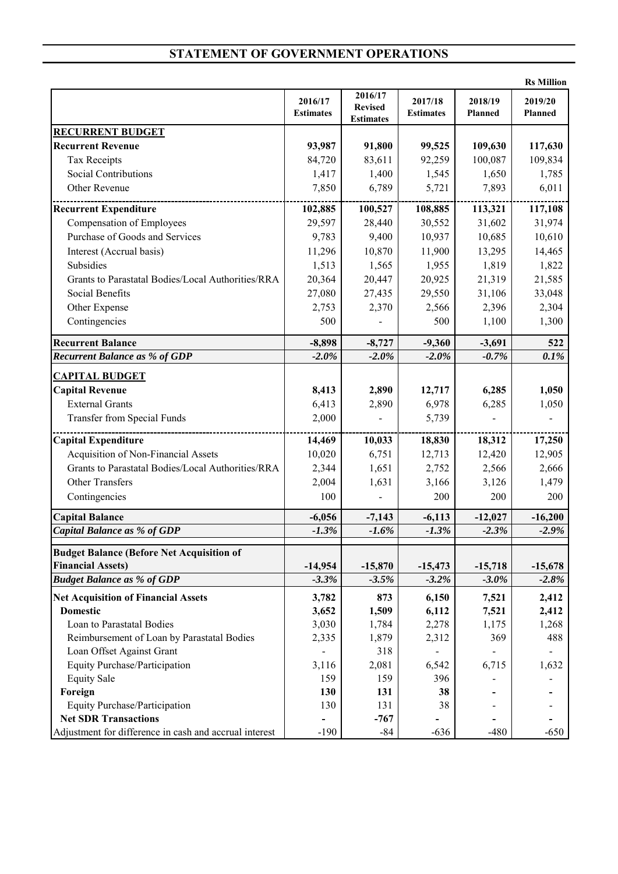## **STATEMENT OF GOVERNMENT OPERATIONS**

|                                                        |                             |                                               |                             |                    | <b>Rs Million</b>  |
|--------------------------------------------------------|-----------------------------|-----------------------------------------------|-----------------------------|--------------------|--------------------|
|                                                        | 2016/17<br><b>Estimates</b> | 2016/17<br><b>Revised</b><br><b>Estimates</b> | 2017/18<br><b>Estimates</b> | 2018/19<br>Planned | 2019/20<br>Planned |
| <b>RECURRENT BUDGET</b>                                |                             |                                               |                             |                    |                    |
| <b>Recurrent Revenue</b>                               | 93,987                      | 91,800                                        | 99,525                      | 109,630            | 117,630            |
| <b>Tax Receipts</b>                                    | 84,720                      | 83,611                                        | 92,259                      | 100,087            | 109,834            |
| Social Contributions                                   | 1,417                       | 1,400                                         | 1,545                       | 1,650              | 1,785              |
| Other Revenue                                          | 7,850                       | 6,789                                         | 5,721                       | 7,893              | 6,011              |
| <b>Recurrent Expenditure</b>                           | 102,885                     | 100,527                                       | 108,885                     | 113,321            | 117,108            |
| <b>Compensation of Employees</b>                       | 29,597                      | 28,440                                        | 30,552                      | 31,602             | 31,974             |
| Purchase of Goods and Services                         | 9,783                       | 9,400                                         | 10,937                      | 10,685             | 10,610             |
| Interest (Accrual basis)                               | 11,296                      | 10,870                                        | 11,900                      | 13,295             | 14,465             |
| Subsidies                                              | 1,513                       | 1,565                                         | 1,955                       | 1,819              | 1,822              |
| Grants to Parastatal Bodies/Local Authorities/RRA      | 20,364                      | 20,447                                        | 20,925                      | 21,319             | 21,585             |
| Social Benefits                                        | 27,080                      | 27,435                                        | 29,550                      | 31,106             | 33,048             |
| Other Expense                                          | 2,753                       | 2,370                                         | 2,566                       | 2,396              | 2,304              |
| Contingencies                                          | 500                         |                                               | 500                         | 1,100              | 1,300              |
| <b>Recurrent Balance</b>                               | $-8,898$                    | $-8,727$                                      | $-9,360$                    | $-3,691$           | 522                |
| <b>Recurrent Balance as % of GDP</b>                   | $-2.0%$                     | $-2.0%$                                       | $-2.0%$                     | $-0.7%$            | 0.1%               |
| <b>CAPITAL BUDGET</b>                                  |                             |                                               |                             |                    |                    |
| <b>Capital Revenue</b>                                 | 8,413                       | 2,890                                         | 12,717                      | 6,285              | 1,050              |
| <b>External Grants</b>                                 | 6,413                       | 2,890                                         | 6,978                       | 6,285              | 1,050              |
| <b>Transfer from Special Funds</b>                     | 2,000                       |                                               | 5,739                       |                    |                    |
| Capital Expenditure                                    | 14,469                      | 10,033                                        | 18,830                      | 18,312             | 17,250             |
| Acquisition of Non-Financial Assets                    | 10,020                      | 6,751                                         | 12,713                      | 12,420             | 12,905             |
| Grants to Parastatal Bodies/Local Authorities/RRA      | 2,344                       | 1,651                                         | 2,752                       | 2,566              | 2,666              |
| <b>Other Transfers</b>                                 | 2,004                       | 1,631                                         | 3,166                       | 3,126              | 1,479              |
| Contingencies                                          | 100                         |                                               | 200                         | 200                | 200                |
| <b>Capital Balance</b>                                 | $-6,056$                    | $-7,143$                                      | $-6,113$                    | $-12,027$          | $-16,200$          |
| <b>Capital Balance as % of GDP</b>                     | $-1.3%$                     | $-1.6%$                                       | $-1.3%$                     | $-2.3%$            | $-2.9%$            |
| <b>Budget Balance (Before Net Acquisition of</b>       |                             |                                               |                             |                    |                    |
| <b>Financial Assets)</b>                               | $-14,954$                   | $-15,870$                                     | $-15,473$                   | $-15,718$          | $-15,678$          |
| <b>Budget Balance as % of GDP</b>                      | $-3.3%$                     | $-3.5%$                                       | $-3.2%$                     | $-3.0\%$           | $-2.8%$            |
| <b>Net Acquisition of Financial Assets</b>             | 3,782                       | 873                                           | 6,150                       | 7,521              | 2,412              |
| <b>Domestic</b>                                        | 3,652                       | 1,509                                         | 6,112                       | 7,521              | 2,412              |
| Loan to Parastatal Bodies                              | 3,030                       | 1,784                                         | 2,278                       | 1,175              | 1,268              |
| Reimbursement of Loan by Parastatal Bodies             | 2,335                       | 1,879                                         | 2,312                       | 369                | 488                |
| Loan Offset Against Grant                              |                             | 318                                           |                             |                    |                    |
| <b>Equity Purchase/Participation</b>                   | 3,116                       | 2,081                                         | 6,542                       | 6,715              | 1,632              |
| <b>Equity Sale</b>                                     | 159                         | 159                                           | 396                         |                    |                    |
| Foreign                                                | 130                         | 131                                           | 38                          |                    |                    |
| Equity Purchase/Participation                          | 130                         | 131                                           | 38                          |                    |                    |
| <b>Net SDR Transactions</b>                            |                             | $-767$                                        |                             |                    |                    |
| Adjustment for difference in cash and accrual interest | $-190$                      | $-84$                                         | $-636$                      | $-480$             | $-650$             |